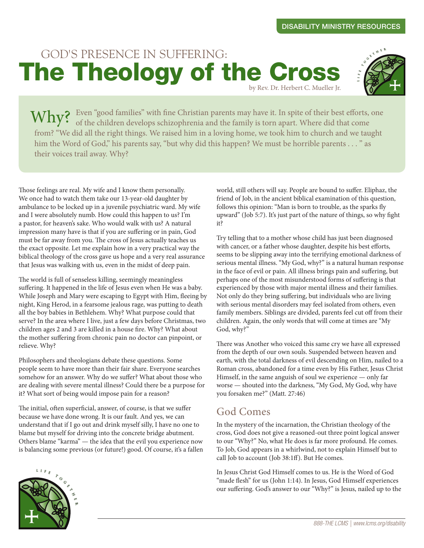## by Rev. Dr. Herbert C. Mueller Jr. GOD'S PRESENCE IN SUFFERING: The Theology of the Cross



Even "good families" with fine Christian parents may have it. In spite of their best efforts, one  $W$ hy? Even "good families" with fine Christian parents may have it. In spite of their best efforts, of the children develops schizophrenia and the family is torn apart. Where did that come from? "We did all the right things. We raised him in a loving home, we took him to church and we taught him the Word of God," his parents say, "but why did this happen? We must be horrible parents . . . " as their voices trail away. Why?

Those feelings are real. My wife and I know them personally. We once had to watch them take our 13-year-old daughter by ambulance to be locked up in a juvenile psychiatric ward. My wife and I were absolutely numb. How could this happen to us? I'm a pastor, for heaven's sake. Who would walk with us? A natural impression many have is that if you are suffering or in pain, God must be far away from you. The cross of Jesus actually teaches us the exact opposite. Let me explain how in a very practical way the biblical theology of the cross gave us hope and a very real assurance that Jesus was walking with us, even in the midst of deep pain.

The world is full of senseless killing, seemingly meaningless suffering. It happened in the life of Jesus even when He was a baby. While Joseph and Mary were escaping to Egypt with Him, fleeing by night, King Herod, in a fearsome jealous rage, was putting to death all the boy babies in Bethlehem. Why? What purpose could that serve? In the area where I live, just a few days before Christmas, two children ages 2 and 3 are killed in a house fire. Why? What about the mother suffering from chronic pain no doctor can pinpoint, or relieve. Why?

Philosophers and theologians debate these questions. Some people seem to have more than their fair share. Everyone searches somehow for an answer. Why do we suffer? What about those who are dealing with severe mental illness? Could there be a purpose for it? What sort of being would impose pain for a reason?

The initial, often superficial, answer, of course, is that we suffer because we have done wrong. It is our fault. And yes, we can understand that if I go out and drink myself silly, I have no one to blame but myself for driving into the concrete bridge abutment. Others blame "karma" — the idea that the evil you experience now is balancing some previous (or future!) good. Of course, it's a fallen world, still others will say. People are bound to suffer. Eliphaz, the friend of Job, in the ancient biblical examination of this question, follows this opinion: "Man is born to trouble, as the sparks fly upward" (Job 5:7). It's just part of the nature of things, so why fight it?

Try telling that to a mother whose child has just been diagnosed with cancer, or a father whose daughter, despite his best efforts, seems to be slipping away into the terrifying emotional darkness of serious mental illness. "My God, why?" is a natural human response in the face of evil or pain. All illness brings pain and suffering, but perhaps one of the most misunderstood forms of suffering is that experienced by those with major mental illness and their families. Not only do they bring suffering, but individuals who are living with serious mental disorders may feel isolated from others, even family members. Siblings are divided, parents feel cut off from their children. Again, the only words that will come at times are "My God, why?"

There was Another who voiced this same cry we have all expressed from the depth of our own souls. Suspended between heaven and earth, with the total darkness of evil descending on Him, nailed to a Roman cross, abandoned for a time even by His Father, Jesus Christ Himself, in the same anguish of soul we experience — only far worse — shouted into the darkness, "My God, My God, why have you forsaken me?" (Matt. 27:46)

### God Comes

In the mystery of the incarnation, the Christian theology of the cross, God does not give a reasoned-out three point logical answer to our "Why?" No, what He does is far more profound. He comes. To Job, God appears in a whirlwind, not to explain Himself but to call Job to account (Job 38:1ff). But He comes.

In Jesus Christ God Himself comes to us. He is the Word of God "made flesh" for us (John 1:14). In Jesus, God Himself experiences our suffering. God's answer to our "Why?" is Jesus, nailed up to the

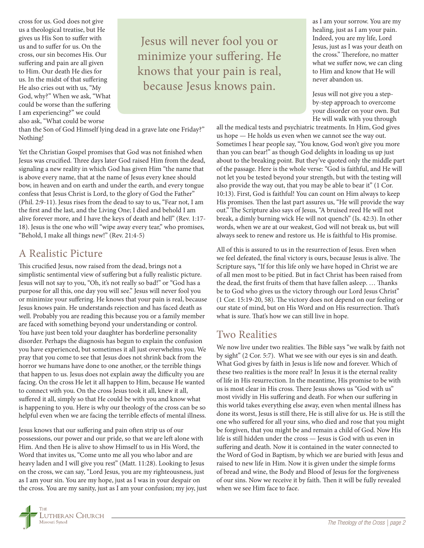cross for us. God does not give us a theological treatise, but He gives us His Son to suffer with us and to suffer for us. On the cross, our sin becomes His. Our suffering and pain are all given to Him. Our death He dies for us. In the midst of that suffering He also cries out with us, "My God, why?" When we ask, "What could be worse than the suffering I am experiencing?" we could also ask, "What could be worse

Jesus will never fool you or minimize your suffering. He knows that your pain is real, because Jesus knows pain.

than the Son of God Himself lying dead in a grave late one Friday?" Nothing!

Yet the Christian Gospel promises that God was not finished when Jesus was crucified. Three days later God raised Him from the dead, signaling a new reality in which God has given Him "the name that is above every name, that at the name of Jesus every knee should bow, in heaven and on earth and under the earth, and every tongue confess that Jesus Christ is Lord, to the glory of God the Father" (Phil. 2:9-11). Jesus rises from the dead to say to us, "Fear not, I am the first and the last, and the Living One; I died and behold I am alive forever more, and I have the keys of death and hell" (Rev. 1:17- 18). Jesus is the one who will "wipe away every tear," who promises, "Behold, I make all things new!" (Rev. 21:4-5)

#### A Realistic Picture

This crucified Jesus, now raised from the dead, brings not a simplistic sentimental view of suffering but a fully realistic picture. Jesus will not say to you, "Oh, it's not really so bad!" or "God has a purpose for all this, one day you will see." Jesus will never fool you or minimize your suffering. He knows that your pain is real, because Jesus knows pain. He understands rejection and has faced death as well. Probably you are reading this because you or a family member are faced with something beyond your understanding or control. You have just been told your daughter has borderline personality disorder. Perhaps the diagnosis has begun to explain the confusion you have experienced, but sometimes it all just overwhelms you. We pray that you come to see that Jesus does not shrink back from the horror we humans have done to one another, or the terrible things that happen to us. Jesus does not explain away the difficulty you are facing. On the cross He let it all happen to Him, because He wanted to connect with you. On the cross Jesus took it all, knew it all, suffered it all, simply so that He could be with you and know what is happening to you. Here is why our theology of the cross can be so helpful even when we are facing the terrible effects of mental illness.

Jesus knows that our suffering and pain often strip us of our possessions, our power and our pride, so that we are left alone with Him. And then He is alive to show Himself to us in His Word, the Word that invites us, "Come unto me all you who labor and are heavy laden and I will give you rest" (Matt. 11:28). Looking to Jesus on the cross, we can say, "Lord Jesus, you are my righteousness, just as I am your sin. You are my hope, just as I was in your despair on the cross. You are my sanity, just as I am your confusion; my joy, just as I am your sorrow. You are my healing, just as I am your pain. Indeed, you are my life, Lord Jesus, just as I was your death on the cross." Therefore, no matter what we suffer now, we can cling to Him and know that He will never abandon us.

Jesus will not give you a stepby-step approach to overcome your disorder on your own. But He will walk with you through

all the medical tests and psychiatric treatments. In Him, God gives us hope — He holds us even when we cannot see the way out. Sometimes I hear people say, "You know, God won't give you more than you can bear!" as though God delights in loading us up just about to the breaking point. But they've quoted only the middle part of the passage. Here is the whole verse: "God is faithful, and He will not let you be tested beyond your strength, but with the testing will also provide the way out, that you may be able to bear it" (1 Cor. 10:13). First, God is faithful! You can count on Him always to keep His promises. Then the last part assures us, "He will provide the way out." The Scripture also says of Jesus, "A bruised reed He will not break, a dimly burning wick He will not quench" (Is. 42:3). In other words, when we are at our weakest, God will not break us, but will always seek to renew and restore us. He is faithful to His promise.

All of this is assured to us in the resurrection of Jesus. Even when we feel defeated, the final victory is ours, because Jesus is alive. The Scripture says, "If for this life only we have hoped in Christ we are of all men most to be pitied. But in fact Christ has been raised from the dead, the first fruits of them that have fallen asleep. … Thanks be to God who gives us the victory through our Lord Jesus Christ" (1 Cor. 15:19-20, 58). The victory does not depend on our feeling or our state of mind, but on His Word and on His resurrection. That's what is sure. That's how we can still live in hope.

### Two Realities

We now live under two realities. The Bible says "we walk by faith not by sight" (2 Cor. 5:7). What we see with our eyes is sin and death. What God gives by faith in Jesus is life now and forever. Which of these two realities is the more real? In Jesus it is the eternal reality of life in His resurrection. In the meantime, His promise to be with us is most clear in His cross. There Jesus shows us "God with us" most vividly in His suffering and death. For when our suffering in this world takes everything else away, even when mental illness has done its worst, Jesus is still there, He is still alive for us. He is still the one who suffered for all your sins, who died and rose that you might be forgiven, that you might be and remain a child of God. Now His life is still hidden under the cross — Jesus is God with us even in suffering and death. Now it is contained in the water connected to the Word of God in Baptism, by which we are buried with Jesus and raised to new life in Him. Now it is given under the simple forms of bread and wine, the Body and Blood of Jesus for the forgiveness of our sins. Now we receive it by faith. Then it will be fully revealed when we see Him face to face.